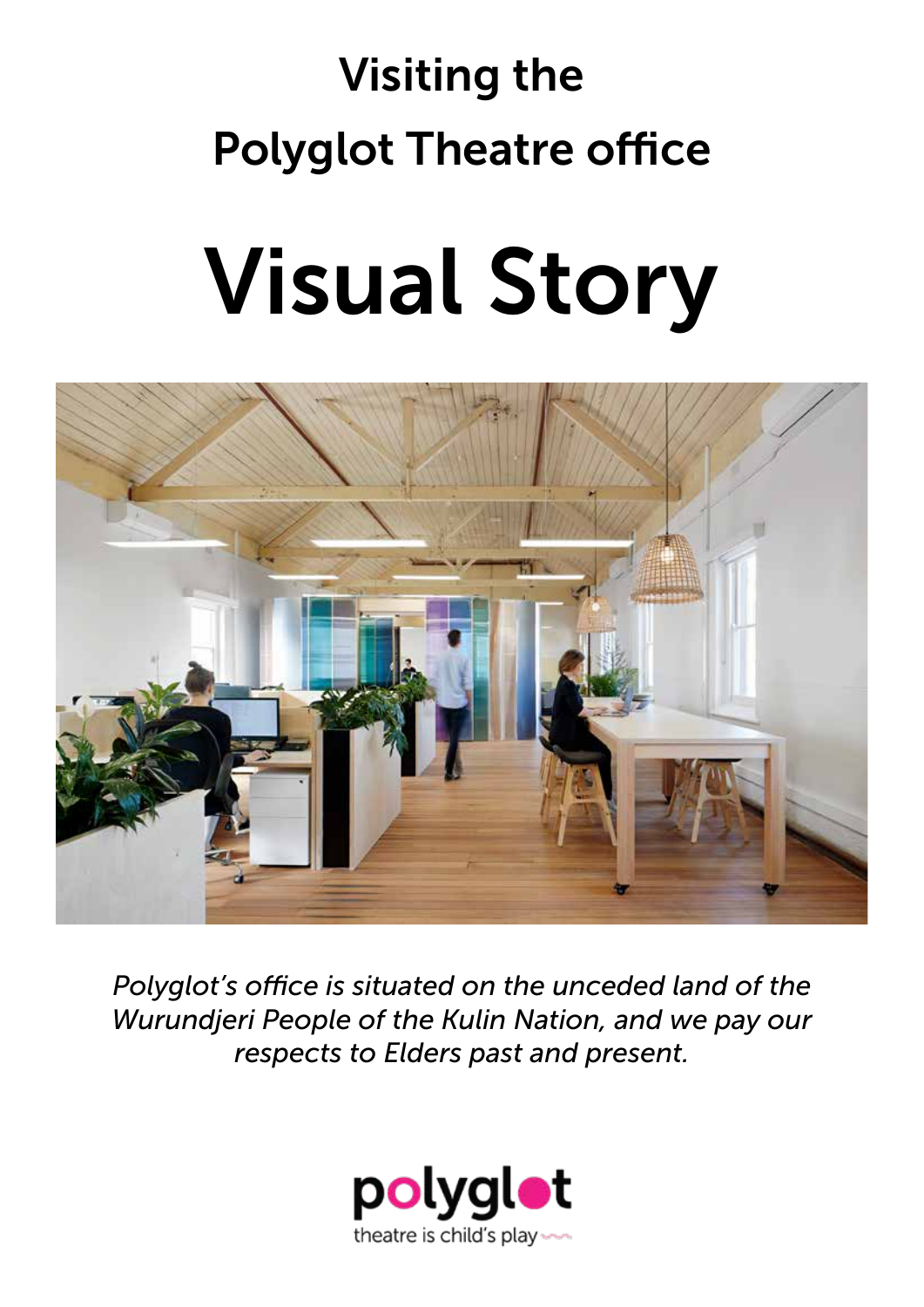# Visiting the Polyglot Theatre office

# Visual Story



*Polyglot's office is situated on the unceded land of the Wurundjeri People of the Kulin Nation, and we pay our respects to Elders past and present.*

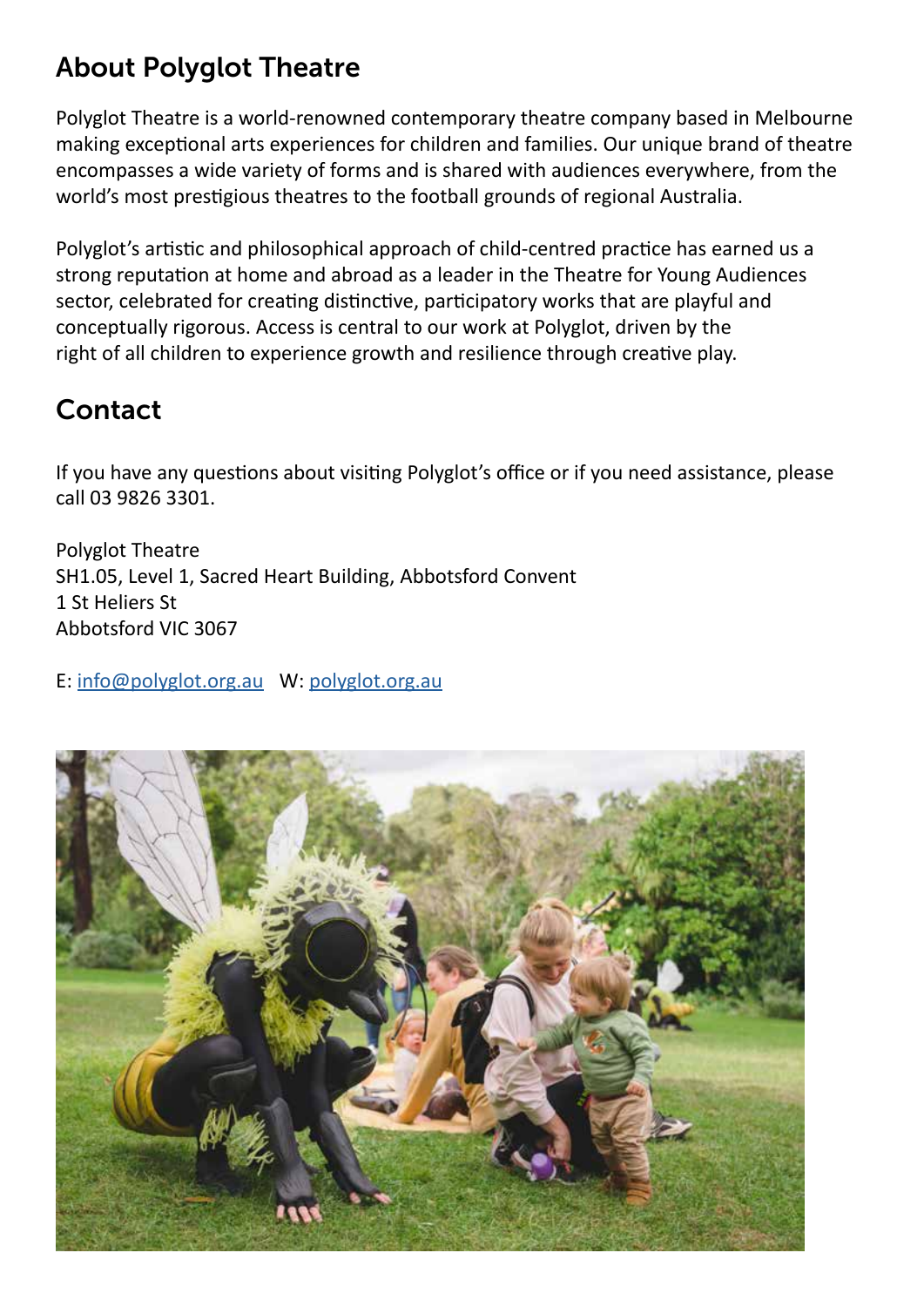# About Polyglot Theatre

Polyglot Theatre is a world-renowned contemporary theatre company based in Melbourne making exceptional arts experiences for children and families. Our unique brand of theatre encompasses a wide variety of forms and is shared with audiences everywhere, from the world's most prestigious theatres to the football grounds of regional Australia.

Polyglot's artistic and philosophical approach of child-centred practice has earned us a strong reputation at home and abroad as a leader in the Theatre for Young Audiences sector, celebrated for creating distinctive, participatory works that are playful and conceptually rigorous. Access is central to our work at Polyglot, driven by the right of all children to experience growth and resilience through creative play.

# Contact

If you have any questions about visiting Polyglot's office or if you need assistance, please call 03 9826 3301.

Polyglot Theatre SH1.05, Level 1, Sacred Heart Building, Abbotsford Convent 1 St Heliers St Abbotsford VIC 3067

E: [info@polyglot.org.au](mailto:info%40polyglot.org.au?subject=) W: [polyglot.org.au](https://polyglot.org.au/)

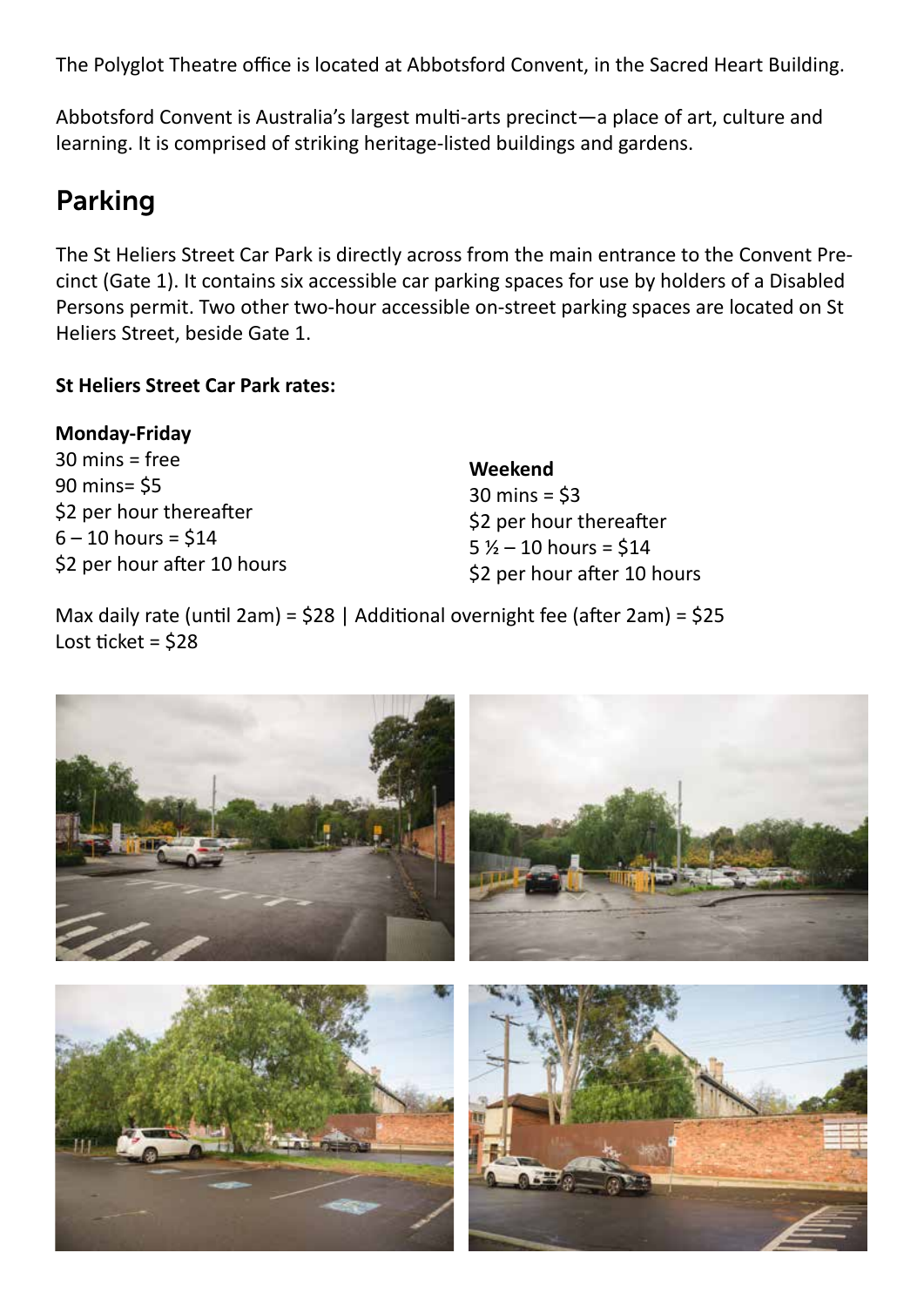The Polyglot Theatre office is located at Abbotsford Convent, in the Sacred Heart Building.

Abbotsford Convent is Australia's largest multi-arts precinct—a place of art, culture and learning. It is comprised of striking heritage-listed buildings and gardens.

## Parking

The St Heliers Street Car Park is directly across from the main entrance to the Convent Precinct (Gate 1). It contains six accessible car parking spaces for use by holders of a Disabled Persons permit. Two other two-hour accessible on-street parking spaces are located on St Heliers Street, beside Gate 1.

#### **St Heliers Street Car Park rates:**

#### **Monday-Friday**

30 mins = free 90 mins= \$5 \$2 per hour thereafter  $6 - 10$  hours = \$14 \$2 per hour after 10 hours

**Weekend** 30 mins = \$3 \$2 per hour thereafter  $5\frac{1}{2} - 10$  hours = \$14 \$2 per hour after 10 hours

Max daily rate (until 2am) = \$28 | Additional overnight fee (after 2am) = \$25 Lost ticket =  $$28$ 

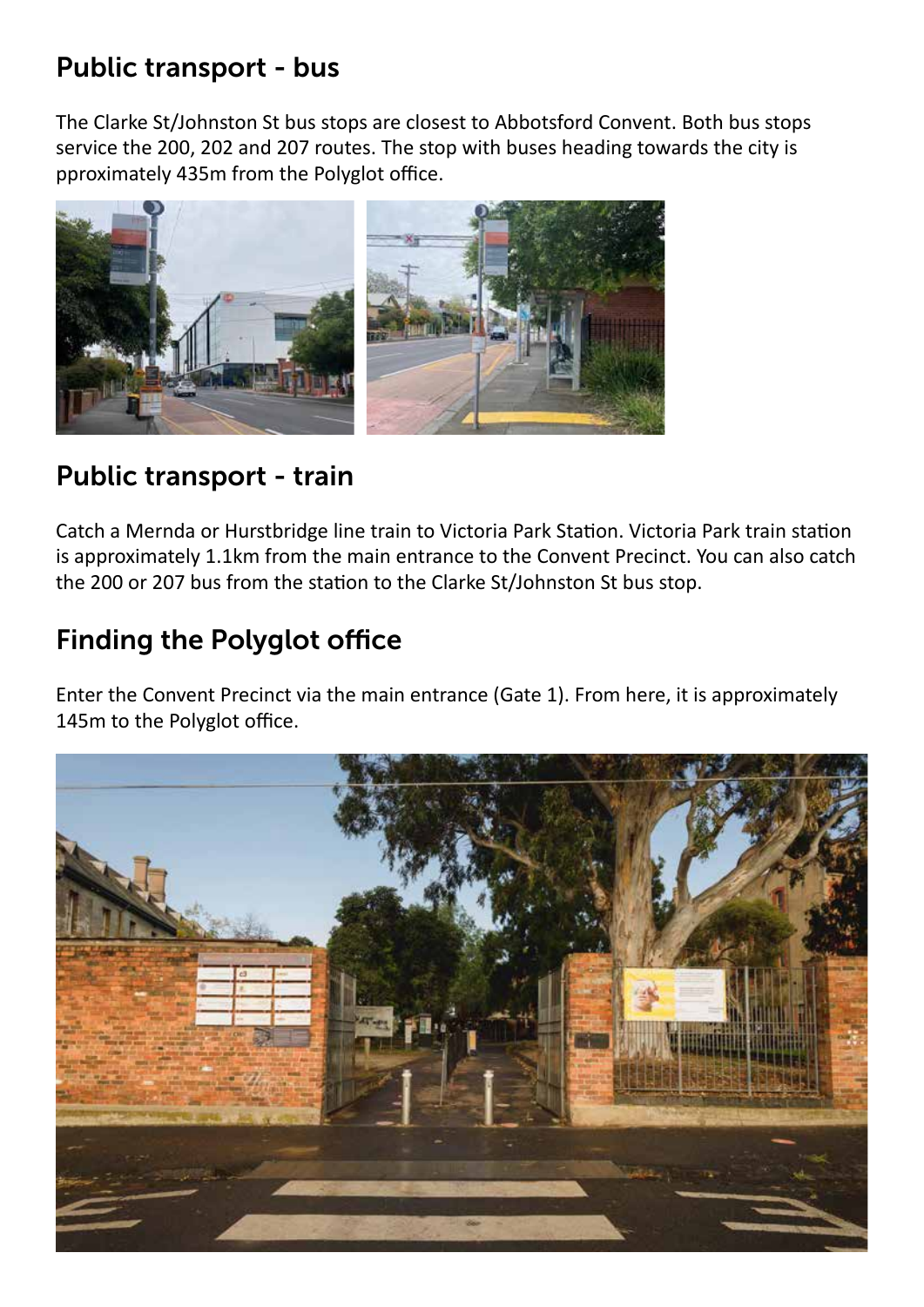# Public transport - bus

The Clarke St/Johnston St bus stops are closest to Abbotsford Convent. Both bus stops service the 200, 202 and 207 routes. The stop with buses heading towards the city is pproximately 435m from the Polyglot office.



## Public transport - train

Catch a Mernda or Hurstbridge line train to Victoria Park Station. Victoria Park train station is approximately 1.1km from the main entrance to the Convent Precinct. You can also catch the 200 or 207 bus from the station to the Clarke St/Johnston St bus stop.

# Finding the Polyglot office

Enter the Convent Precinct via the main entrance (Gate 1). From here, it is approximately 145m to the Polyglot office.

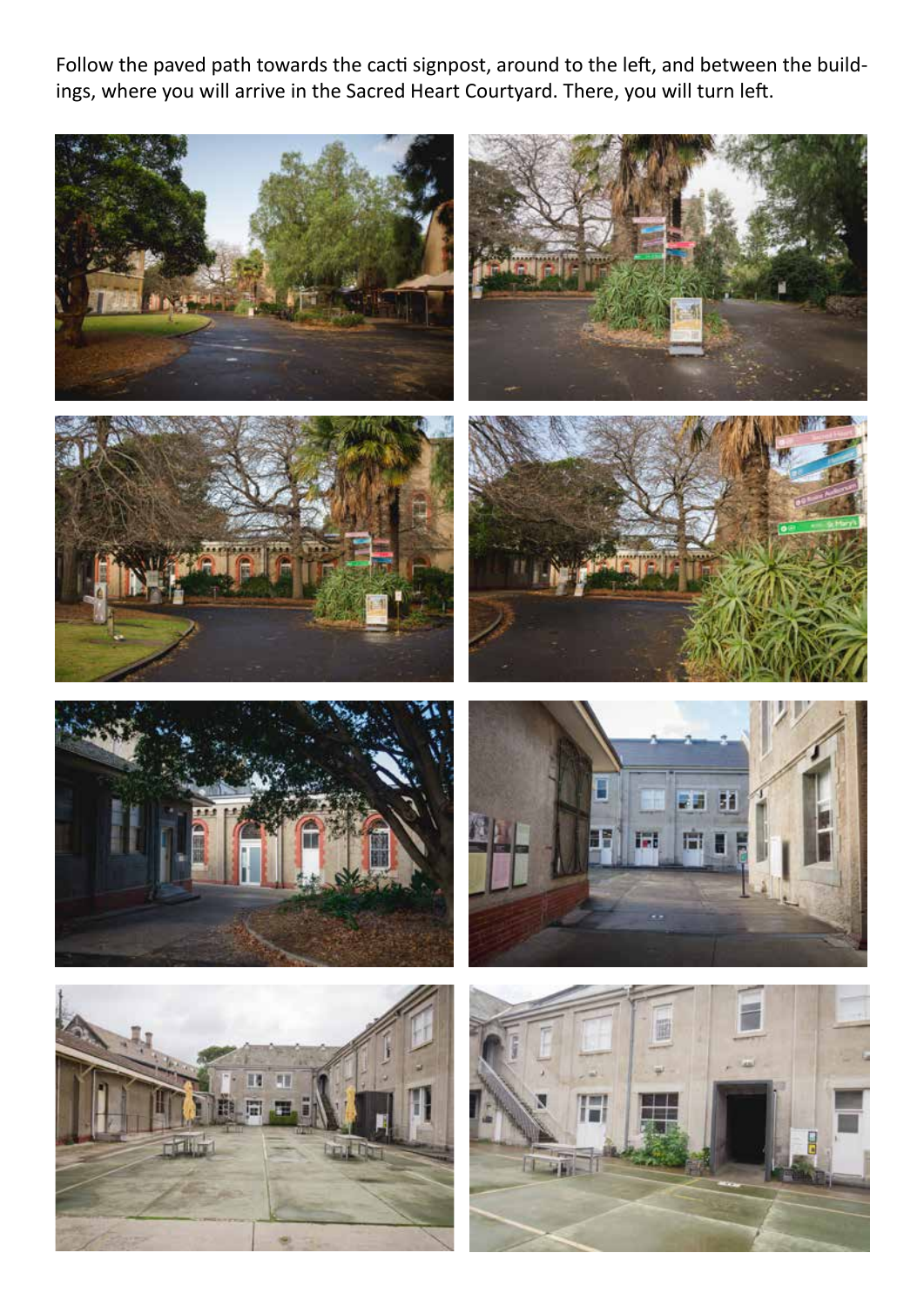Follow the paved path towards the cacti signpost, around to the left, and between the buildings, where you will arrive in the Sacred Heart Courtyard. There, you will turn left.

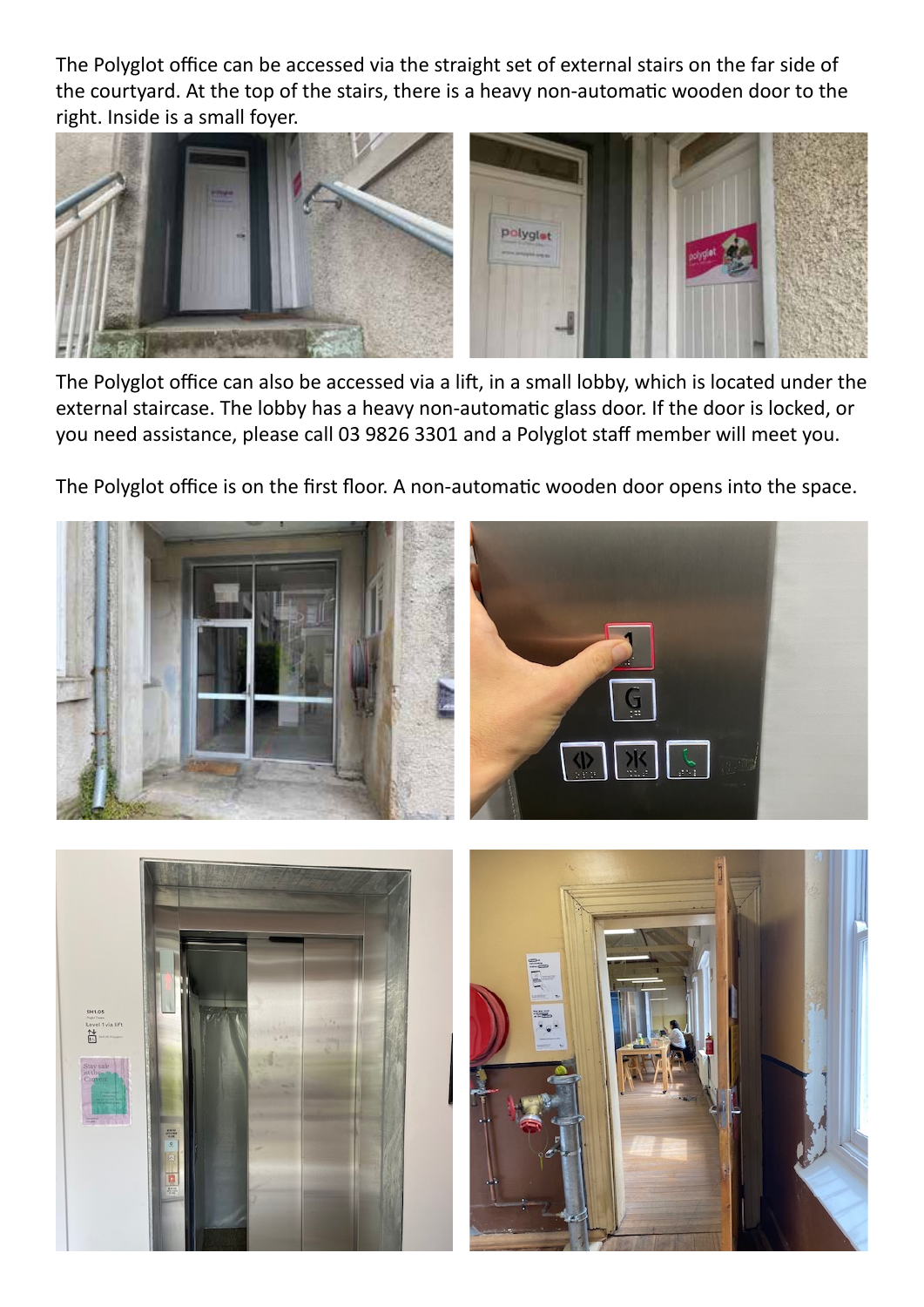The Polyglot office can be accessed via the straight set of external stairs on the far side of the courtyard. At the top of the stairs, there is a heavy non-automatic wooden door to the right. Inside is a small foyer.



The Polyglot office can also be accessed via a lift, in a small lobby, which is located under the external staircase. The lobby has a heavy non-automatic glass door. If the door is locked, or you need assistance, please call 03 9826 3301 and a Polyglot staff member will meet you.

The Polyglot office is on the first floor. A non-automatic wooden door opens into the space.